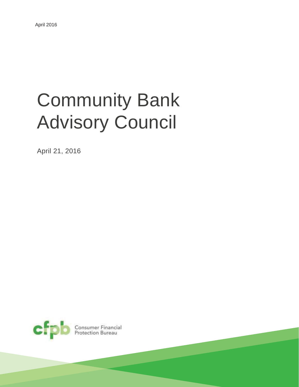# Community Bank Advisory Council

April 21, 2016



**Consumer Financial**<br>Protection Bureau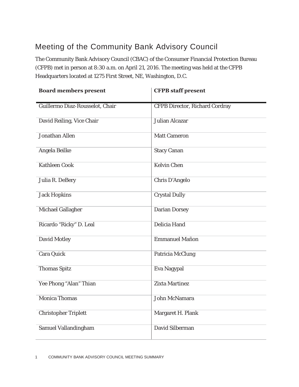## Meeting of the Community Bank Advisory Council

The Community Bank Advisory Council (CBAC) of the Consumer Financial Protection Bureau (CFPB) met in person at 8:30 a.m. on April 21, 2016. The meeting was held at the CFPB Headquarters located at 1275 First Street, NE, Washington, D.C.

| <b>Board members present</b>    | <b>CFPB</b> staff present             |
|---------------------------------|---------------------------------------|
| Guillermo Diaz-Rousselot, Chair | <b>CFPB Director, Richard Cordray</b> |
| David Reiling, Vice Chair       | <b>Julian Alcazar</b>                 |
| Jonathan Allen                  | Matt Cameron                          |
| Angela Beilke                   | <b>Stacy Canan</b>                    |
| Kathleen Cook                   | <b>Kelvin Chen</b>                    |
| Julia R. DeBery                 | Chris D'Angelo                        |
| Jack Hopkins                    | <b>Crystal Dully</b>                  |
| Michael Gallagher               | Darian Dorsey                         |
| Ricardo "Ricky" D. Leal         | <b>Delicia Hand</b>                   |
| David Motley                    | Emmanuel Mañon                        |
| Cara Quick                      | Patricia McClung                      |
| <b>Thomas Spitz</b>             | Eva Nagypal                           |
| Yee Phong "Alan" Thian          | <b>Zixta Martinez</b>                 |
| <b>Monica Thomas</b>            | John McNamara                         |
| Christopher Triplett            | Margaret H. Plank                     |
| Samuel Vallandingham            | David Silberman                       |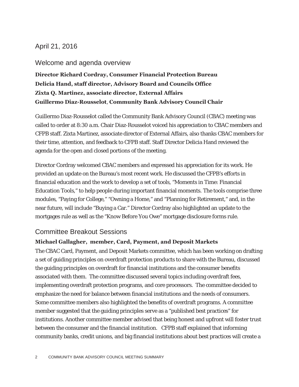## April 21, 2016

#### Welcome and agenda overview

**Director Richard Cordray, Consumer Financial Protection Bureau Delicia Hand, staff director, Advisory Board and Councils Office Zixta Q. Martinez, associate director, External Affairs Guillermo Diaz-Rousselot**, **Community Bank Advisory Council Chair** 

Guillermo Diaz-Rousselot called the Community Bank Advisory Council (CBAC) meeting was called to order at 8:30 a.m. Chair Diaz-Rousselot voiced his appreciation to CBAC members and CFPB staff. Zixta Martinez, associate director of External Affairs, also thanks CBAC members for their time, attention, and feedback to CFPB staff. Staff Director Delicia Hand reviewed the agenda for the open and closed portions of the meeting.

Director Cordray welcomed CBAC members and expressed his appreciation for its work. He provided an update on the Bureau's most recent work. He discussed the CFPB's efforts in financial education and the work to develop a set of tools, "Moments in Time: Financial Education Tools," to help people during important financial moments. The tools comprise three modules, "Paying for College," "Owning a Home," and "Planning for Retirement," and, in the near future, will include "Buying a Car." Director Cordray also highlighted an update to the mortgages rule as well as the "Know Before You Owe" mortgage disclosure forms rule.

#### Committee Breakout Sessions

#### **Michael Gallagher, member, Card, Payment, and Deposit Markets**

The CBAC Card, Payment, and Deposit Markets committee, which has been working on drafting a set of guiding principles on overdraft protection products to share with the Bureau, discussed the guiding principles on overdraft for financial institutions and the consumer benefits associated with them. The committee discussed several topics including overdraft fees, implementing overdraft protection programs, and core processors. The committee decided to emphasize the need for balance between financial institutions and the needs of consumers. Some committee members also highlighted the benefits of overdraft programs. A committee member suggested that the guiding principles serve as a "published best practices" for institutions. Another committee member advised that being honest and upfront will foster trust between the consumer and the financial institution. CFPB staff explained that informing community banks, credit unions, and big financial institutions about best practices will create a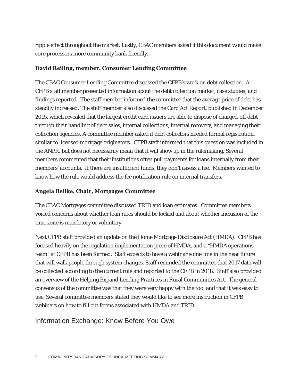ripple effect throughout the market. Lastly, CBAC members asked if this document would make core processors more community bank friendly.

#### **David Reiling, member, Consumer Lending Committee**

The CBAC Consumer Lending Committee discussed the CFPB's work on debt collection. A CFPB staff member presented information about the debt collection market, case studies, and findings reported. The staff member informed the committee that the average price of debt has steadily increased. The staff member also discussed the Card Act Report, published in December 2015, which revealed that the largest credit card issuers are able to dispose of charged-off debt through their handling of debt sales, internal collections, internal recovery, and managing their collection agencies. A committee member asked if debt collectors needed formal registration, similar to licensed mortgage originators. CFPB staff informed that this question was included in the ANPR, but does not necessarily mean that it will show up in the rulemaking. Several members commented that their institutions often pull payments for loans internally from their members' accounts. If there are insufficient funds, they don't assess a fee. Members wanted to know how the rule would address the fee notification rule on internal transfers.

#### **Angela Beilke, Chair, Mortgages Committee**

The CBAC Mortgages committee discussed TRID and loan estimates. Committee members voiced concerns about whether loan rates should be locked and about whether inclusion of the time zone is mandatory or voluntary.

Next CFPB staff provided an update on the Home Mortgage Disclosure Act (HMDA). CFPB has focused heavily on the regulation implementation piece of HMDA, and a "HMDA operations team" at CFPB has been formed. Staff expects to have a webinar sometime in the near future that will walk people through system changes. Staff reminded the committee that 2017 data will be collected according to the current rule and reported to the CFPB in 2018. Staff also provided an overview of the Helping Expand Lending Practices in Rural Communities Act. The general consensus of the committee was that they were very happy with the tool and that it was easy to use. Several committee members stated they would like to see more instruction in CFPB webinars on how to fill out forms associated with HMDA and TRID.

## Information Exchange: Know Before You Owe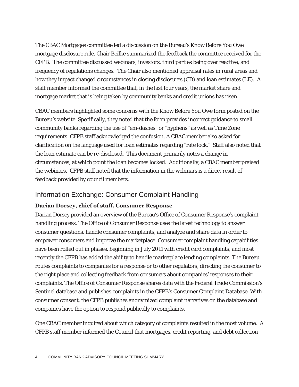The CBAC Mortgages committee led a discussion on the Bureau's Know Before You Owe mortgage disclosure rule. Chair Beilke summarized the feedback the committee received for the CFPB. The committee discussed webinars, investors, third parties being over reactive, and frequency of regulations changes. The Chair also mentioned appraisal rates in rural areas and how they impact changed circumstances in closing disclosures (CD) and loan estimates (LE). A staff member informed the committee that, in the last four years, the market share and mortgage market that is being taken by community banks and credit unions has risen.

CBAC members highlighted some concerns with the Know Before You Owe form posted on the Bureau's website. Specifically, they noted that the form provides incorrect guidance to small community banks regarding the use of "em-dashes" or "hyphens" as well as Time Zone requirements. CFPB staff acknowledged the confusion. A CBAC member also asked for clarification on the language used for loan estimates regarding "rate lock." Staff also noted that the loan estimate can be re-disclosed. This document primarily notes a change in circumstances, at which point the loan becomes locked. Additionally, a CBAC member praised the webinars. CFPB staff noted that the information in the webinars is a direct result of feedback provided by council members.

#### Information Exchange: Consumer Complaint Handling

#### **Darian Dorsey, chief of staff, Consumer Response**

Darian Dorsey provided an overview of the Bureau's Office of Consumer Response's complaint handling process. The Office of Consumer Response uses the latest technology to answer consumer questions, handle consumer complaints, and analyze and share data in order to empower consumers and improve the marketplace. Consumer complaint handling capabilities have been rolled out in phases, beginning in July 2011 with credit card complaints, and most recently the CFPB has added the ability to handle marketplace lending complaints. The Bureau routes complaints to companies for a response or to other regulators, directing the consumer to the right place and collecting feedback from consumers about companies' responses to their complaints. The Office of Consumer Response shares data with the Federal Trade Commission's Sentinel database and publishes complaints in the CFPB's Consumer Complaint Database. With consumer consent, the CFPB publishes anonymized complaint narratives on the database and companies have the option to respond publically to complaints.

One CBAC member inquired about which category of complaints resulted in the most volume. A CFPB staff member informed the Council that mortgages, credit reporting, and debt collection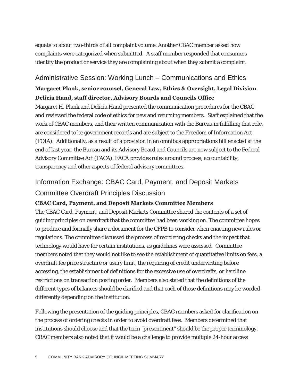equate to about two-thirds of all complaint volume. Another CBAC member asked how complaints were categorized when submitted. A staff member responded that consumers identify the product or service they are complaining about when they submit a complaint.

## Administrative Session: Working Lunch – Communications and Ethics **Margaret Plank, senior counsel, General Law, Ethics & Oversight, Legal Division Delicia Hand, staff director, Advisory Boards and Councils Office**

Margaret H. Plank and Delicia Hand presented the communication procedures for the CBAC and reviewed the federal code of ethics for new and returning members. Staff explained that the work of CBAC members, and their written communication with the Bureau in fulfilling that role, are considered to be government records and are subject to the Freedom of Information Act (FOIA). Additionally, as a result of a provision in an omnibus appropriations bill enacted at the end of last year, the Bureau and its Advisory Board and Councils are now subject to the Federal Advisory Committee Act (FACA). FACA provides rules around process, accountability, transparency and other aspects of federal advisory committees.

## Information Exchange: CBAC Card, Payment, and Deposit Markets Committee Overdraft Principles Discussion

#### **CBAC Card, Payment, and Deposit Markets Committee Members**

The CBAC Card, Payment, and Deposit Markets Committee shared the contents of a set of guiding principles on overdraft that the committee had been working on. The committee hopes to produce and formally share a document for the CFPB to consider when enacting new rules or regulations. The committee discussed the process of reordering checks and the impact that technology would have for certain institutions, as guidelines were assessed. Committee members noted that they would not like to see the establishment of quantitative limits on fees, a overdraft fee price structure or usury limit, the requiring of credit underwriting before accessing, the establishment of definitions for the excessive use of overdrafts, or hardline restrictions on transaction posting order. Members also stated that the definitions of the different types of balances should be clarified and that each of those definitions may be worded differently depending on the institution.

Following the presentation of the guiding principles, CBAC members asked for clarification on the process of ordering checks in order to avoid overdraft fees. Members determined that institutions should choose and that the term "presentment" should be the proper terminology. CBAC members also noted that it would be a challenge to provide multiple 24-hour access